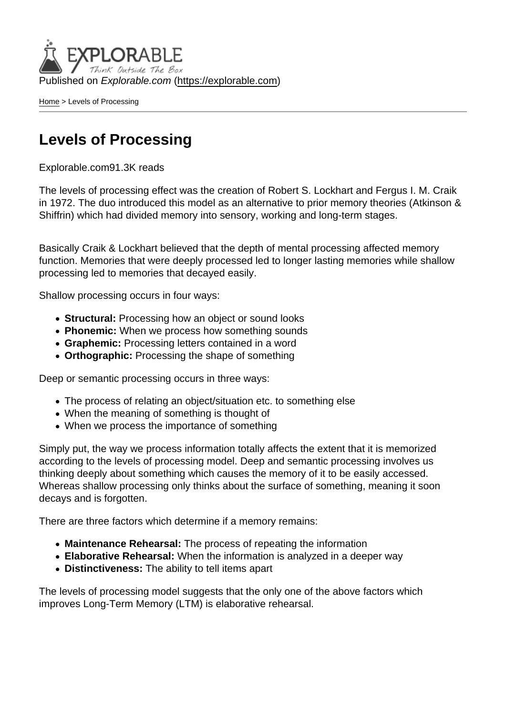Published on Explorable.com (<https://explorable.com>)

[Home](https://explorable.com/) > Levels of Processing

### Levels of Processing

Explorable.com91.3K reads

The levels of processing effect was the creation of Robert S. Lockhart and Fergus I. M. Craik in 1972. The duo introduced this model as an alternative to prior memory theories (Atkinson & Shiffrin) which had divided memory into sensory, working and long-term stages.

Basically Craik & Lockhart believed that the depth of mental processing affected memory function. Memories that were deeply processed led to longer lasting memories while shallow processing led to memories that decayed easily.

Shallow processing occurs in four ways:

- Structural: Processing how an object or sound looks
- Phonemic: When we process how something sounds
- Graphemic: Processing letters contained in a word
- Orthographic: Processing the shape of something

Deep or semantic processing occurs in three ways:

- The process of relating an object/situation etc. to something else
- When the meaning of something is thought of
- When we process the importance of something

Simply put, the way we process information totally affects the extent that it is memorized according to the levels of processing model. Deep and semantic processing involves us thinking deeply about something which causes the memory of it to be easily accessed. Whereas shallow processing only thinks about the surface of something, meaning it soon decays and is forgotten.

There are three factors which determine if a memory remains:

- Maintenance Rehearsal: The process of repeating the information
- Elaborative Rehearsal: When the information is analyzed in a deeper way
- Distinctiveness: The ability to tell items apart

The levels of processing model suggests that the only one of the above factors which improves Long-Term Memory (LTM) is elaborative rehearsal.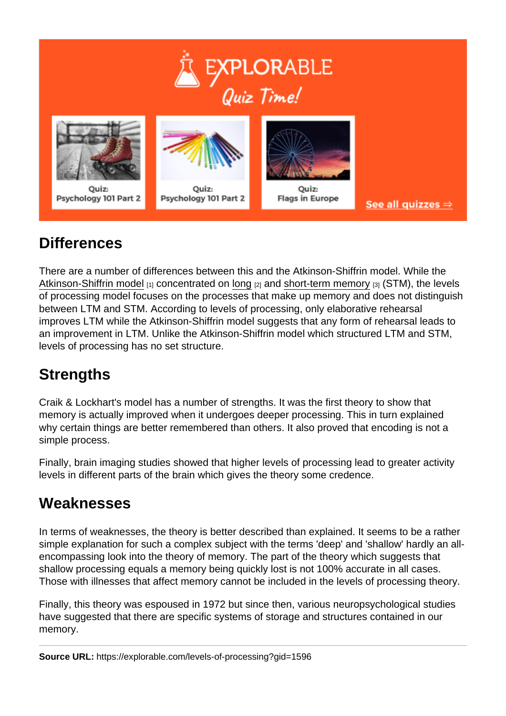### **Differences**

There are a number of differences between this and the Atkinson-Shiffrin model. While the [Atkinson-Shiffrin model](https://explorable.com/atkinson-shiffrin-model)  $_{[1]}$  concentrated on [long](https://explorable.com/long-term-memory)  $_{[2]}$  and [short-term memory](https://explorable.com/short-term-memory)  $_{[3]}$  (STM), the levels of processing model focuses on the processes that make up memory and does not distinguish between LTM and STM. According to levels of processing, only elaborative rehearsal improves LTM while the Atkinson-Shiffrin model suggests that any form of rehearsal leads to an improvement in LTM. Unlike the Atkinson-Shiffrin model which structured LTM and STM, levels of processing has no set structure.

# **Strengths**

Craik & Lockhart's model has a number of strengths. It was the first theory to show that memory is actually improved when it undergoes deeper processing. This in turn explained why certain things are better remembered than others. It also proved that encoding is not a simple process.

Finally, brain imaging studies showed that higher levels of processing lead to greater activity levels in different parts of the brain which gives the theory some credence.

# **Weaknesses**

In terms of weaknesses, the theory is better described than explained. It seems to be a rather simple explanation for such a complex subject with the terms 'deep' and 'shallow' hardly an allencompassing look into the theory of memory. The part of the theory which suggests that shallow processing equals a memory being quickly lost is not 100% accurate in all cases. Those with illnesses that affect memory cannot be included in the levels of processing theory.

Finally, this theory was espoused in 1972 but since then, various neuropsychological studies have suggested that there are specific systems of storage and structures contained in our memory.